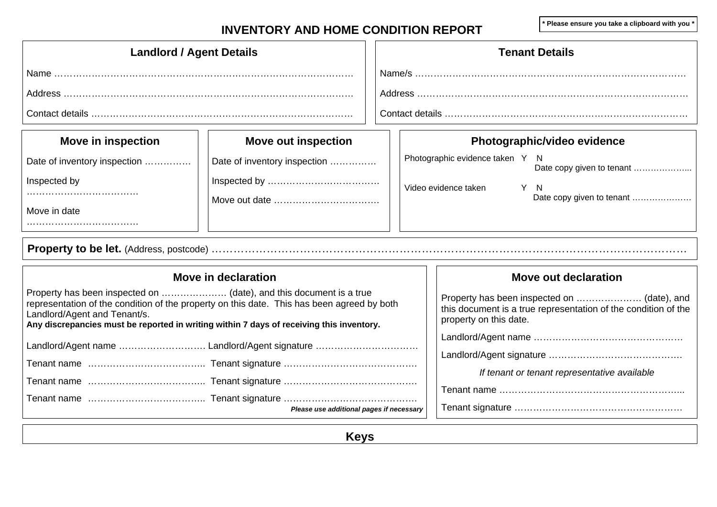# INVENTORY AND HOME CONDITION REPORT **And Accountable 2** \* Please ensure you take a clipboard with you \*

| <b>Landlord / Agent Details</b>                                                                                                                                                                                                                                                               |                                          |  |                                                                                                                                         | <b>Tenant Details</b>                                        |  |  |  |
|-----------------------------------------------------------------------------------------------------------------------------------------------------------------------------------------------------------------------------------------------------------------------------------------------|------------------------------------------|--|-----------------------------------------------------------------------------------------------------------------------------------------|--------------------------------------------------------------|--|--|--|
|                                                                                                                                                                                                                                                                                               |                                          |  |                                                                                                                                         |                                                              |  |  |  |
|                                                                                                                                                                                                                                                                                               |                                          |  |                                                                                                                                         |                                                              |  |  |  |
|                                                                                                                                                                                                                                                                                               |                                          |  |                                                                                                                                         |                                                              |  |  |  |
| <b>Move in inspection</b>                                                                                                                                                                                                                                                                     | <b>Move out inspection</b>               |  |                                                                                                                                         | Photographic/video evidence                                  |  |  |  |
| Date of inventory inspection                                                                                                                                                                                                                                                                  | Date of inventory inspection             |  |                                                                                                                                         | Photographic evidence taken Y N<br>Date copy given to tenant |  |  |  |
| Inspected by                                                                                                                                                                                                                                                                                  |                                          |  |                                                                                                                                         | Video evidence taken<br>Y N                                  |  |  |  |
| Move in date                                                                                                                                                                                                                                                                                  |                                          |  |                                                                                                                                         | Date copy given to tenant                                    |  |  |  |
|                                                                                                                                                                                                                                                                                               |                                          |  |                                                                                                                                         |                                                              |  |  |  |
|                                                                                                                                                                                                                                                                                               |                                          |  |                                                                                                                                         |                                                              |  |  |  |
|                                                                                                                                                                                                                                                                                               | Move in declaration                      |  |                                                                                                                                         | Move out declaration                                         |  |  |  |
| Property has been inspected on  (date), and this document is a true<br>representation of the condition of the property on this date. This has been agreed by both<br>Landlord/Agent and Tenant/s.<br>Any discrepancies must be reported in writing within 7 days of receiving this inventory. |                                          |  | Property has been inspected on  (date), and<br>this document is a true representation of the condition of the<br>property on this date. |                                                              |  |  |  |
|                                                                                                                                                                                                                                                                                               |                                          |  |                                                                                                                                         |                                                              |  |  |  |
|                                                                                                                                                                                                                                                                                               |                                          |  |                                                                                                                                         | If tenant or tenant representative available                 |  |  |  |
|                                                                                                                                                                                                                                                                                               |                                          |  |                                                                                                                                         |                                                              |  |  |  |
|                                                                                                                                                                                                                                                                                               |                                          |  |                                                                                                                                         |                                                              |  |  |  |
|                                                                                                                                                                                                                                                                                               | Please use additional pages if necessary |  |                                                                                                                                         |                                                              |  |  |  |

**Keys**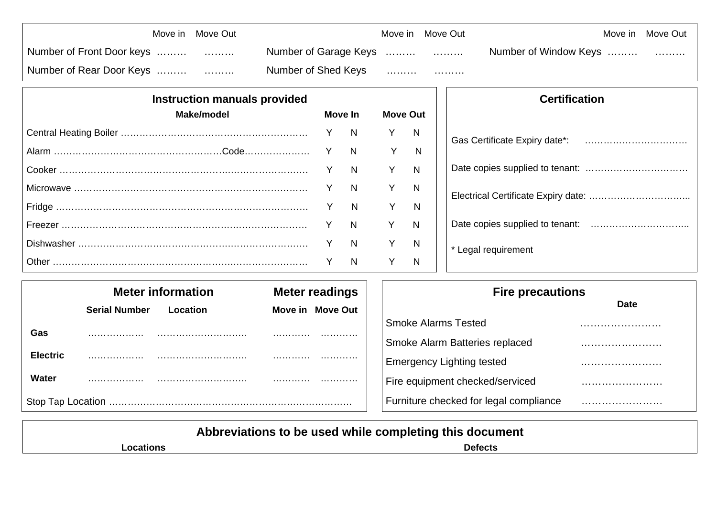|                           | Move in Move Out |                       | Move in Move Out                                                                                                                                                                                                                                                                                                                                                                                                                                                                            | Move in Move Out      |  |
|---------------------------|------------------|-----------------------|---------------------------------------------------------------------------------------------------------------------------------------------------------------------------------------------------------------------------------------------------------------------------------------------------------------------------------------------------------------------------------------------------------------------------------------------------------------------------------------------|-----------------------|--|
| Number of Front Door keys |                  | Number of Garage Keys |                                                                                                                                                                                                                                                                                                                                                                                                                                                                                             | Number of Window Keys |  |
| Number of Rear Door Keys  |                  | Number of Shed Keys   | $\begin{array}{cccccccccccccc} \multicolumn{2}{c}{} & \multicolumn{2}{c}{} & \multicolumn{2}{c}{} & \multicolumn{2}{c}{} & \multicolumn{2}{c}{} & \multicolumn{2}{c}{} & \multicolumn{2}{c}{} & \multicolumn{2}{c}{} & \multicolumn{2}{c}{} & \multicolumn{2}{c}{} & \multicolumn{2}{c}{} & \multicolumn{2}{c}{} & \multicolumn{2}{c}{} & \multicolumn{2}{c}{} & \multicolumn{2}{c}{} & \multicolumn{2}{c}{} & \multicolumn{2}{c}{} & \multicolumn{2}{c}{} & \multicolumn{2}{c}{} & \$<br>. |                       |  |

| <b>Instruction manuals provided</b> |                |                 |   |
|-------------------------------------|----------------|-----------------|---|
| Make/model                          | Move In        | <b>Move Out</b> |   |
|                                     |                | $\mathsf{Y}$    | N |
|                                     |                | Y               | N |
|                                     |                | Y               | N |
|                                     | N              |                 | N |
|                                     | N              |                 | N |
|                                     | $\overline{N}$ | $\mathsf{Y}$    | N |
|                                     | N              |                 | N |
|                                     | N              |                 | N |

| <b>Certification</b>               |
|------------------------------------|
| Gas Certificate Expiry date*:<br>. |
|                                    |
|                                    |
|                                    |
| * Legal requirement                |

|                   | <b>Meter information</b><br><b>Meter readings</b> |          |  |                  | <b>Fire precautions</b>                |             |  |
|-------------------|---------------------------------------------------|----------|--|------------------|----------------------------------------|-------------|--|
|                   | <b>Serial Number</b>                              | Location |  | Move in Move Out |                                        | <b>Date</b> |  |
|                   |                                                   |          |  |                  | <b>Smoke Alarms Tested</b>             |             |  |
| Gas               | .                                                 |          |  | .                | Smoke Alarm Batteries replaced         |             |  |
| <b>Electric</b>   | .                                                 |          |  | .                | <b>Emergency Lighting tested</b>       |             |  |
| Water             | .                                                 |          |  | .                | Fire equipment checked/serviced        |             |  |
| Stop Tap Location |                                                   |          |  |                  | Furniture checked for legal compliance |             |  |

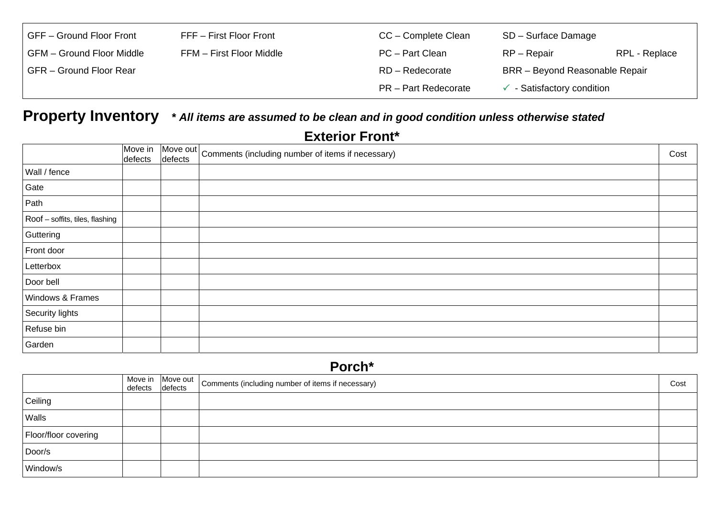| GFF - Ground Floor Front  | FFF - First Floor Front  | CC – Complete Clean         | SD - Surface Damage            |               |
|---------------------------|--------------------------|-----------------------------|--------------------------------|---------------|
| GFM - Ground Floor Middle | FFM - First Floor Middle | PC - Part Clean             | RP – Repair                    | RPL - Replace |
| GFR - Ground Floor Rear   |                          | RD - Redecorate             | BRR - Beyond Reasonable Repair |               |
|                           |                          | <b>PR</b> – Part Redecorate | - Satisfactory condition       |               |

## **Property Inventory \*** *All items are assumed to be clean and in good condition unless otherwise stated*

### **Exterior Front\***

|                                 | Move in<br>defects | Move out   Comments (including number of items if necessary) | Cost |
|---------------------------------|--------------------|--------------------------------------------------------------|------|
| Wall / fence                    |                    |                                                              |      |
| Gate                            |                    |                                                              |      |
| Path                            |                    |                                                              |      |
| Roof - soffits, tiles, flashing |                    |                                                              |      |
| Guttering                       |                    |                                                              |      |
| Front door                      |                    |                                                              |      |
| Letterbox                       |                    |                                                              |      |
| Door bell                       |                    |                                                              |      |
| Windows & Frames                |                    |                                                              |      |
| Security lights                 |                    |                                                              |      |
| Refuse bin                      |                    |                                                              |      |
| Garden                          |                    |                                                              |      |

### **Porch\***

|                      | Move in<br>defects | defects | $\sqrt{\frac{1}{100}}$ Move out   Comments (including number of items if necessary) | Cost |
|----------------------|--------------------|---------|-------------------------------------------------------------------------------------|------|
| Ceiling              |                    |         |                                                                                     |      |
| Walls                |                    |         |                                                                                     |      |
| Floor/floor covering |                    |         |                                                                                     |      |
| Door/s               |                    |         |                                                                                     |      |
| Window/s             |                    |         |                                                                                     |      |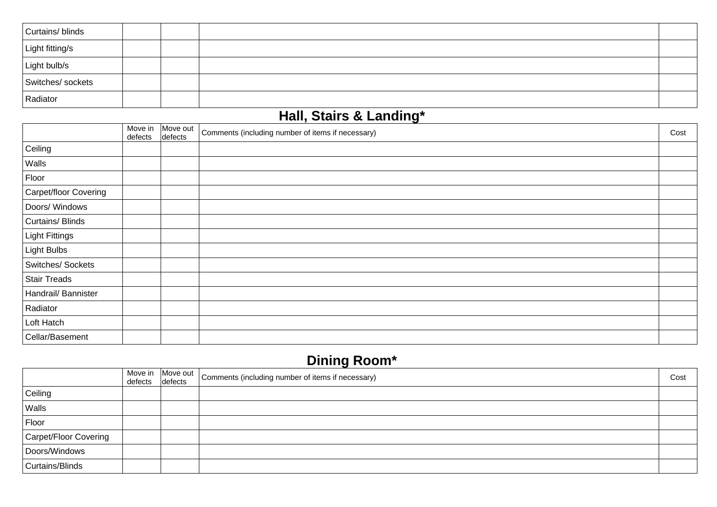| Curtains/blinds   |  |  |
|-------------------|--|--|
| Light fitting/s   |  |  |
| Light bulb/s      |  |  |
| Switches/ sockets |  |  |
| Radiator          |  |  |

### **Hall, Stairs & Landing\***

|                       | Move in<br>defects | Move out<br>defects | . .<br>Comments (including number of items if necessary) | Cost |
|-----------------------|--------------------|---------------------|----------------------------------------------------------|------|
| Ceiling               |                    |                     |                                                          |      |
| Walls                 |                    |                     |                                                          |      |
| Floor                 |                    |                     |                                                          |      |
| Carpet/floor Covering |                    |                     |                                                          |      |
| Doors/ Windows        |                    |                     |                                                          |      |
| Curtains/Blinds       |                    |                     |                                                          |      |
| Light Fittings        |                    |                     |                                                          |      |
| Light Bulbs           |                    |                     |                                                          |      |
| Switches/Sockets      |                    |                     |                                                          |      |
| <b>Stair Treads</b>   |                    |                     |                                                          |      |
| Handrail/ Bannister   |                    |                     |                                                          |      |
| Radiator              |                    |                     |                                                          |      |
| Loft Hatch            |                    |                     |                                                          |      |
| Cellar/Basement       |                    |                     |                                                          |      |

# **Dining Room\***

|                       |  | Move in Move out Comments (including number of items if necessary)<br>defects defects | Cost |
|-----------------------|--|---------------------------------------------------------------------------------------|------|
| Ceiling               |  |                                                                                       |      |
| Walls                 |  |                                                                                       |      |
| Floor                 |  |                                                                                       |      |
| Carpet/Floor Covering |  |                                                                                       |      |
| Doors/Windows         |  |                                                                                       |      |
| Curtains/Blinds       |  |                                                                                       |      |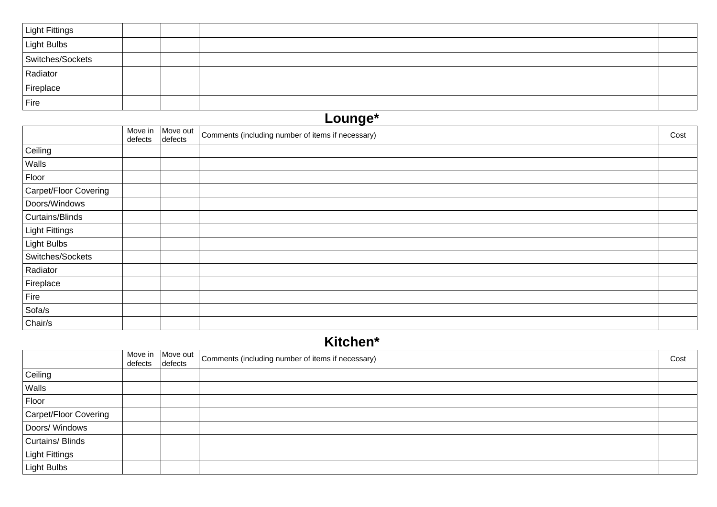| <b>Light Fittings</b> |  |  |
|-----------------------|--|--|
| Light Bulbs           |  |  |
| Switches/Sockets      |  |  |
| Radiator              |  |  |
| Fireplace             |  |  |
| Fire                  |  |  |

### **Lounge\***  Move in defects Move out | Comments (including number of items if necessary) cost comments (including number of items if necessary) **Ceiling** Walls Floor Carpet/Floor Covering Doors/Windows Curtains/Blinds Light Fittings Light Bulbs Switches/Sockets Radiator Fireplace Fire Sofa/s Chair/s

### **Kitchen\***

|                       |  | Move in Move out Comments (including number of items if necessary) | Cost |
|-----------------------|--|--------------------------------------------------------------------|------|
| Ceiling               |  |                                                                    |      |
| Walls                 |  |                                                                    |      |
| Floor                 |  |                                                                    |      |
| Carpet/Floor Covering |  |                                                                    |      |
| Doors/ Windows        |  |                                                                    |      |
| Curtains/Blinds       |  |                                                                    |      |
| <b>Light Fittings</b> |  |                                                                    |      |
| Light Bulbs           |  |                                                                    |      |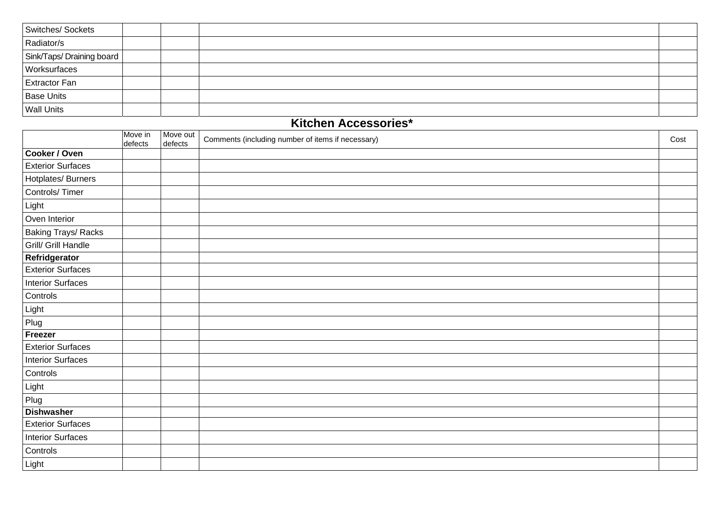| Switches/Sockets          |  |  |
|---------------------------|--|--|
| Radiator/s                |  |  |
| Sink/Taps/ Draining board |  |  |
| Worksurfaces              |  |  |
| <b>Extractor Fan</b>      |  |  |
| <b>Base Units</b>         |  |  |
| <b>Wall Units</b>         |  |  |

#### **Kitchen Accessories\***

|                            | Move in<br>defects | Move out<br>defects | Comments (including number of items if necessary) | Cost |
|----------------------------|--------------------|---------------------|---------------------------------------------------|------|
| Cooker / Oven              |                    |                     |                                                   |      |
| <b>Exterior Surfaces</b>   |                    |                     |                                                   |      |
| Hotplates/Burners          |                    |                     |                                                   |      |
| Controls/Timer             |                    |                     |                                                   |      |
| Light                      |                    |                     |                                                   |      |
| Oven Interior              |                    |                     |                                                   |      |
| <b>Baking Trays/ Racks</b> |                    |                     |                                                   |      |
| Grill/ Grill Handle        |                    |                     |                                                   |      |
| Refridgerator              |                    |                     |                                                   |      |
| <b>Exterior Surfaces</b>   |                    |                     |                                                   |      |
| <b>Interior Surfaces</b>   |                    |                     |                                                   |      |
| Controls                   |                    |                     |                                                   |      |
| Light                      |                    |                     |                                                   |      |
| Plug                       |                    |                     |                                                   |      |
| Freezer                    |                    |                     |                                                   |      |
| <b>Exterior Surfaces</b>   |                    |                     |                                                   |      |
| <b>Interior Surfaces</b>   |                    |                     |                                                   |      |
| Controls                   |                    |                     |                                                   |      |
| Light                      |                    |                     |                                                   |      |
| Plug                       |                    |                     |                                                   |      |
| <b>Dishwasher</b>          |                    |                     |                                                   |      |
| <b>Exterior Surfaces</b>   |                    |                     |                                                   |      |
| <b>Interior Surfaces</b>   |                    |                     |                                                   |      |
| Controls                   |                    |                     |                                                   |      |
| Light                      |                    |                     |                                                   |      |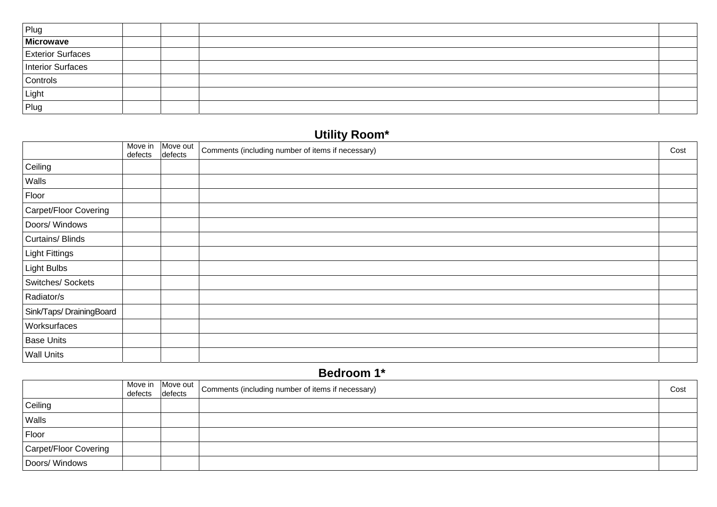| Plug              |  |  |
|-------------------|--|--|
| Microwave         |  |  |
| Exterior Surfaces |  |  |
| Interior Surfaces |  |  |
| Controls          |  |  |
| Light             |  |  |
| Plug              |  |  |

# **Utility Room\***

|                         | Move in<br>defects | Move out<br>defects | Comments (including number of items if necessary) | Cost |
|-------------------------|--------------------|---------------------|---------------------------------------------------|------|
| Ceiling                 |                    |                     |                                                   |      |
| Walls                   |                    |                     |                                                   |      |
| Floor                   |                    |                     |                                                   |      |
| Carpet/Floor Covering   |                    |                     |                                                   |      |
| Doors/ Windows          |                    |                     |                                                   |      |
| Curtains/Blinds         |                    |                     |                                                   |      |
| <b>Light Fittings</b>   |                    |                     |                                                   |      |
| Light Bulbs             |                    |                     |                                                   |      |
| Switches/Sockets        |                    |                     |                                                   |      |
| Radiator/s              |                    |                     |                                                   |      |
| Sink/Taps/DrainingBoard |                    |                     |                                                   |      |
| Worksurfaces            |                    |                     |                                                   |      |
| <b>Base Units</b>       |                    |                     |                                                   |      |
| <b>Wall Units</b>       |                    |                     |                                                   |      |

### **Bedroom 1\***

|                       | Move in<br>defects defects | Move out | Comments (including number of items if necessary) | Cost |
|-----------------------|----------------------------|----------|---------------------------------------------------|------|
| Ceiling               |                            |          |                                                   |      |
| Walls                 |                            |          |                                                   |      |
| Floor                 |                            |          |                                                   |      |
| Carpet/Floor Covering |                            |          |                                                   |      |
| Doors/ Windows        |                            |          |                                                   |      |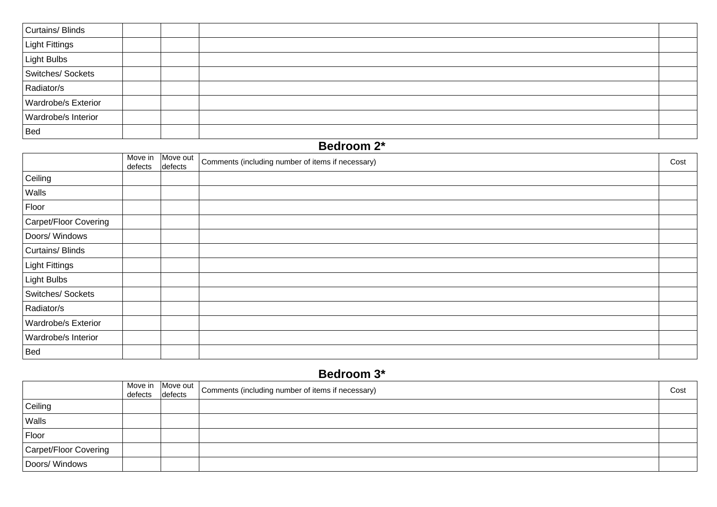| Curtains/Blinds            |  |  |
|----------------------------|--|--|
| Light Fittings             |  |  |
| Light Bulbs                |  |  |
| Switches/Sockets           |  |  |
| Radiator/s                 |  |  |
| <b>Wardrobe/s Exterior</b> |  |  |
| Wardrobe/s Interior        |  |  |
| Bed                        |  |  |

#### **Bedroom 2\***

|                       | Move in<br>defects | Move out<br>defects | Comments (including number of items if necessary) | Cost |
|-----------------------|--------------------|---------------------|---------------------------------------------------|------|
| Ceiling               |                    |                     |                                                   |      |
| Walls                 |                    |                     |                                                   |      |
| Floor                 |                    |                     |                                                   |      |
| Carpet/Floor Covering |                    |                     |                                                   |      |
| Doors/ Windows        |                    |                     |                                                   |      |
| Curtains/Blinds       |                    |                     |                                                   |      |
| <b>Light Fittings</b> |                    |                     |                                                   |      |
| <b>Light Bulbs</b>    |                    |                     |                                                   |      |
| Switches/ Sockets     |                    |                     |                                                   |      |
| Radiator/s            |                    |                     |                                                   |      |
| Wardrobe/s Exterior   |                    |                     |                                                   |      |
| Wardrobe/s Interior   |                    |                     |                                                   |      |
| <b>Bed</b>            |                    |                     |                                                   |      |

### **Bedroom 3\***

|                       | defects defects | Move in Move out | Comments (including number of items if necessary) | Cost |
|-----------------------|-----------------|------------------|---------------------------------------------------|------|
| Ceiling               |                 |                  |                                                   |      |
| Walls                 |                 |                  |                                                   |      |
| Floor                 |                 |                  |                                                   |      |
| Carpet/Floor Covering |                 |                  |                                                   |      |
| Doors/ Windows        |                 |                  |                                                   |      |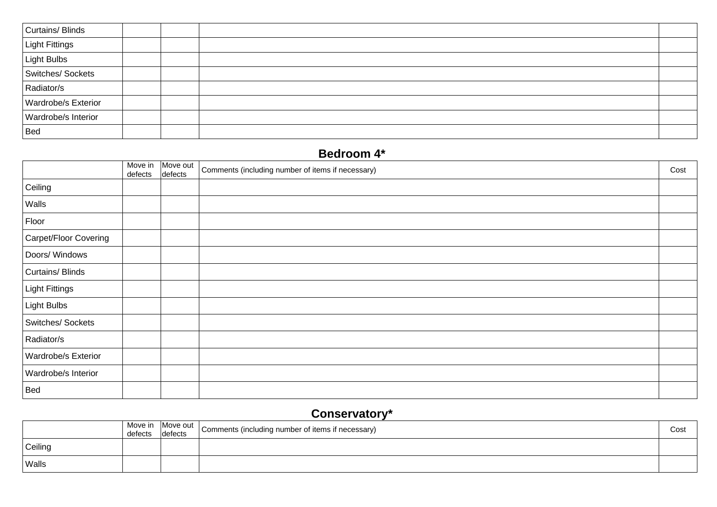| Curtains/Blinds            |  |  |
|----------------------------|--|--|
| Light Fittings             |  |  |
| Light Bulbs                |  |  |
| Switches/Sockets           |  |  |
| Radiator/s                 |  |  |
| <b>Wardrobe/s Exterior</b> |  |  |
| Wardrobe/s Interior        |  |  |
| Bed                        |  |  |

### **Bedroom 4\***

|                            | Move in<br>defects | Move out<br>defects | Comments (including number of items if necessary) | Cost |
|----------------------------|--------------------|---------------------|---------------------------------------------------|------|
| Ceiling                    |                    |                     |                                                   |      |
| Walls                      |                    |                     |                                                   |      |
| Floor                      |                    |                     |                                                   |      |
| Carpet/Floor Covering      |                    |                     |                                                   |      |
| Doors/ Windows             |                    |                     |                                                   |      |
| Curtains/Blinds            |                    |                     |                                                   |      |
| Light Fittings             |                    |                     |                                                   |      |
| Light Bulbs                |                    |                     |                                                   |      |
| Switches/ Sockets          |                    |                     |                                                   |      |
| Radiator/s                 |                    |                     |                                                   |      |
| <b>Wardrobe/s Exterior</b> |                    |                     |                                                   |      |
| Wardrobe/s Interior        |                    |                     |                                                   |      |
| <b>Bed</b>                 |                    |                     |                                                   |      |

## **Conservatory\***

|         | defects | defects | Move in Move out   Comments (including number of items if necessary) | Cost |
|---------|---------|---------|----------------------------------------------------------------------|------|
| Ceiling |         |         |                                                                      |      |
| Walls   |         |         |                                                                      |      |